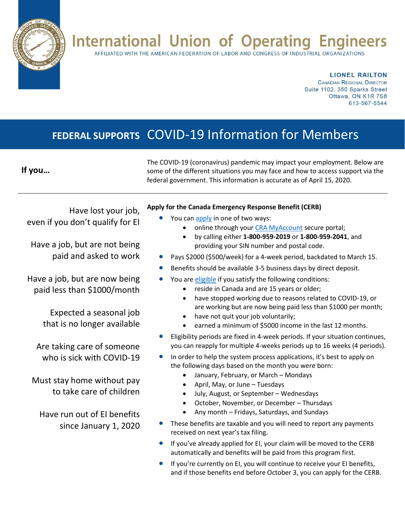## **International Union of Operating Engineers**

AFFILIATED WITH THE AMERICAN FEDERATION OF LABOR AND CONGRESS OF INDUSTRIAL ORGANIZATIONS

**LIONEL RAILTON** 

**CANADIAN REGIONAL DIRECTOR** Suite 1102, 350 Sparks Street Ottawa, ON K1R 7S8 613-567-5544

### **FEDERAL SUPPORTS** COVID-19 Information for Members

#### **If you…**

The COVID-19 (coronavirus) pandemic may impact your employment. Below are some of the different situations you may face and how to access support via the federal government. This information is accurate as of April 15, 2020.

Have lost your job, even if you don't qualify for EI

Have a job, but are not being paid and asked to work

Have a job, but are now being paid less than \$1000/month

> Expected a seasonal job that is no longer available

Are taking care of someone who is sick with COVID-19

Must stay home without pay to take care of children

Have run out of EI benefits since January 1, 2020

#### **Apply for the Canada Emergency Response Benefit (CERB)**

- You can [apply](https://www.canada.ca/en/revenue-agency/services/benefits/apply-for-cerb-with-cra.html#how) in one of two ways:
	- online through your [CRA MyAccount](https://www.canada.ca/en/revenue-agency/services/e-services/e-services-individuals/account-individuals.html) secure portal;
	- by calling either **1-800-959-2019** or **1-800-959-2041**, and providing your SIN number and postal code.
- Pays \$2000 (\$500/week) for a 4-week period, backdated to March 15.
- Benefits should be available 3-5 business days by direct deposit.
- You are *eligible* if you satisfy the following conditions:
	- reside in Canada and are 15 years or older;
	- have stopped working due to reasons related to COVID-19, or are working but are now being paid less than \$1000 per month;
	- have not quit your job voluntarily;
	- earned a minimum of \$5000 income in the last 12 months.
- Eligibility periods are fixed in 4-week periods. If your situation continues, you can reapply for multiple 4-weeks periods up to 16 weeks (4 periods).
- In order to help the system process applications, it's best to apply on the following days based on the month you were born:
	- January, February, or March Mondays
	- April, May, or June Tuesdays
	- July, August, or September Wednesdays
	- October, November, or December Thursdays
	- Any month Fridays, Saturdays, and Sundays
- These benefits are taxable and you will need to report any payments received on next year's tax filing.
- If you've already applied for EI, your claim will be moved to the CERB automatically and benefits will be paid from this program first.
- If you're currently on EI, you will continue to receive your EI benefits, and if those benefits end before October 3, you can apply for the CERB.